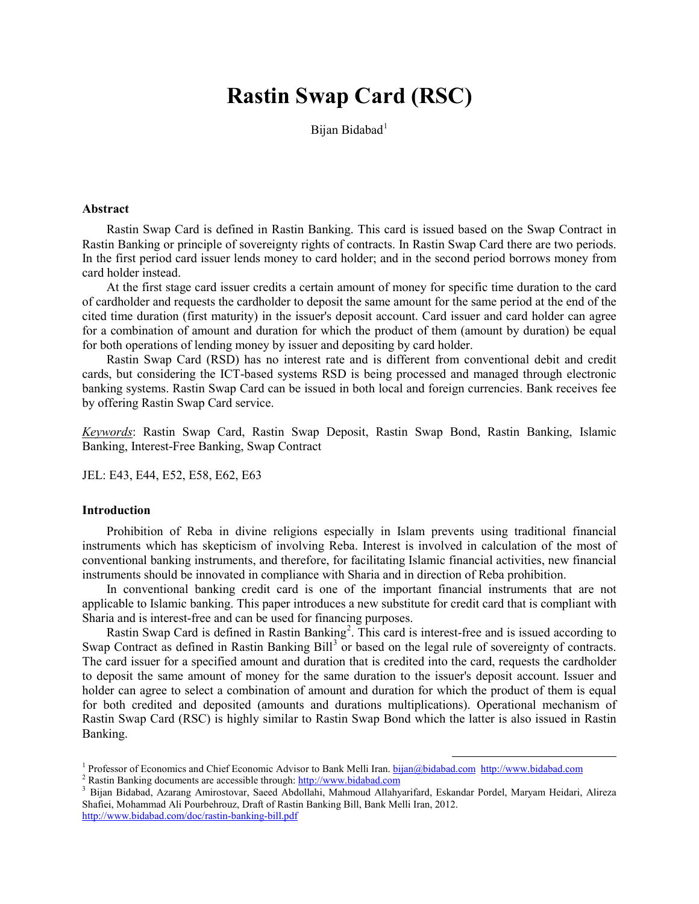# **Rastin Swap Card (RSC)**

Bijan Bidabad<sup>[1](#page-0-0)</sup>

# **Abstract**

Rastin Swap Card is defined in Rastin Banking. This card is issued based on the Swap Contract in Rastin Banking or principle of sovereignty rights of contracts. In Rastin Swap Card there are two periods. In the first period card issuer lends money to card holder; and in the second period borrows money from card holder instead.

At the first stage card issuer credits a certain amount of money for specific time duration to the card of cardholder and requests the cardholder to deposit the same amount for the same period at the end of the cited time duration (first maturity) in the issuer's deposit account. Card issuer and card holder can agree for a combination of amount and duration for which the product of them (amount by duration) be equal for both operations of lending money by issuer and depositing by card holder.

Rastin Swap Card (RSD) has no interest rate and is different from conventional debit and credit cards, but considering the ICT-based systems RSD is being processed and managed through electronic banking systems. Rastin Swap Card can be issued in both local and foreign currencies. Bank receives fee by offering Rastin Swap Card service.

*Keywords*: Rastin Swap Card, Rastin Swap Deposit, Rastin Swap Bond, Rastin Banking, Islamic Banking, Interest-Free Banking, Swap Contract

JEL: E43, E44, E52, E58, E62, E63

#### **Introduction**

Prohibition of Reba in divine religions especially in Islam prevents using traditional financial instruments which has skepticism of involving Reba. Interest is involved in calculation of the most of conventional banking instruments, and therefore, for facilitating Islamic financial activities, new financial instruments should be innovated in compliance with Sharia and in direction of Reba prohibition.

In conventional banking credit card is one of the important financial instruments that are not applicable to Islamic banking. This paper introduces a new substitute for credit card that is compliant with Sharia and is interest-free and can be used for financing purposes.

Rastin Swap Card is defined in Rastin Banking<sup>[2](#page-0-1)</sup>. This card is interest-free and is issued according to Swap Contract as defined in Rastin Banking Bill<sup>[3](#page-0-2)</sup> or based on the legal rule of sovereignty of contracts. The card issuer for a specified amount and duration that is credited into the card, requests the cardholder to deposit the same amount of money for the same duration to the issuer's deposit account. Issuer and holder can agree to select a combination of amount and duration for which the product of them is equal for both credited and deposited (amounts and durations multiplications). Operational mechanism of Rastin Swap Card (RSC) is highly similar to Rastin Swap Bond which the latter is also issued in Rastin Banking.

 $\overline{\phantom{a}}$ 

<span id="page-0-1"></span><span id="page-0-0"></span><sup>&</sup>lt;sup>1</sup> Professor of Economics and Chief Economic Advisor to Bank Melli Iran[. bijan@bidabad.com](mailto:bijan@bidabad.com) [http://www.bidabad.com](http://www.bidabad.com/)<br><sup>2</sup> Rastin Banking documents are accessible through[: http://www.bidabad.com](http://www.bidabad.com/)<br><sup>3</sup> Bijan Bidabad, Azarang Amir

<span id="page-0-2"></span>Shafiei, Mohammad Ali Pourbehrouz, Draft of Rastin Banking Bill, Bank Melli Iran, 2012. <http://www.bidabad.com/doc/rastin-banking-bill.pdf>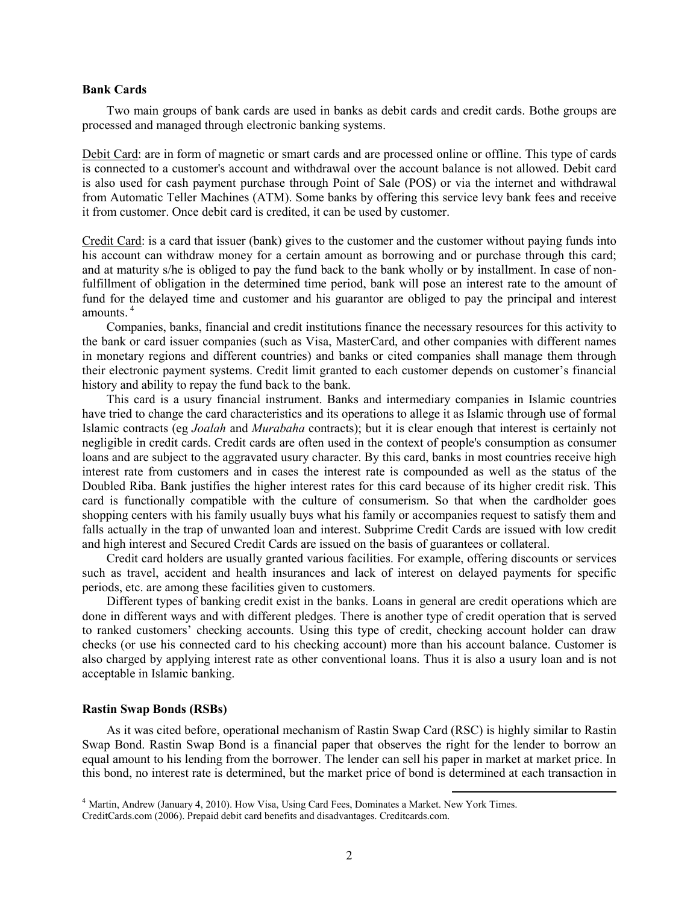#### **Bank Cards**

Two main groups of bank cards are used in banks as debit cards and credit cards. Bothe groups are processed and managed through electronic banking systems.

Debit Card: are in form of magnetic or smart cards and are processed online or offline. This type of cards is connected to a customer's account and withdrawal over the account balance is not allowed. Debit card is also used for cash payment purchase through Point of Sale (POS) or via the internet and withdrawal from Automatic Teller Machines (ATM). Some banks by offering this service levy bank fees and receive it from customer. Once debit card is credited, it can be used by customer.

Credit Card: is a card that issuer (bank) gives to the customer and the customer without paying funds into his account can withdraw money for a certain amount as borrowing and or purchase through this card; and at maturity s/he is obliged to pay the fund back to the bank wholly or by installment. In case of nonfulfillment of obligation in the determined time period, bank will pose an interest rate to the amount of fund for the delayed time and customer and his guarantor are obliged to pay the principal and interest amounts.<sup>4</sup>

Companies, banks, financial and credit institutions finance the necessary resources for this activity to the bank or card issuer companies (such as Visa, MasterCard, and other companies with different names in monetary regions and different countries) and banks or cited companies shall manage them through their electronic payment systems. Credit limit granted to each customer depends on customer's financial history and ability to repay the fund back to the bank.

This card is a usury financial instrument. Banks and intermediary companies in Islamic countries have tried to change the card characteristics and its operations to allege it as Islamic through use of formal Islamic contracts (eg *Joalah* and *Murabaha* contracts); but it is clear enough that interest is certainly not negligible in credit cards. Credit cards are often used in the context of people's consumption as consumer loans and are subject to the aggravated usury character. By this card, banks in most countries receive high interest rate from customers and in cases the interest rate is compounded as well as the status of the Doubled Riba. Bank justifies the higher interest rates for this card because of its higher credit risk. This card is functionally compatible with the culture of consumerism. So that when the cardholder goes shopping centers with his family usually buys what his family or accompanies request to satisfy them and falls actually in the trap of unwanted loan and interest. Subprime Credit Cards are issued with low credit and high interest and Secured Credit Cards are issued on the basis of guarantees or collateral.

Credit card holders are usually granted various facilities. For example, offering discounts or services such as travel, accident and health insurances and lack of interest on delayed payments for specific periods, etc. are among these facilities given to customers.

Different types of banking credit exist in the banks. Loans in general are credit operations which are done in different ways and with different pledges. There is another type of credit operation that is served to ranked customers' checking accounts. Using this type of credit, checking account holder can draw checks (or use his connected card to his checking account) more than his account balance. Customer is also charged by applying interest rate as other conventional loans. Thus it is also a usury loan and is not acceptable in Islamic banking.

# **Rastin Swap Bonds (RSBs)**

As it was cited before, operational mechanism of Rastin Swap Card (RSC) is highly similar to Rastin Swap Bond. Rastin Swap Bond is a financial paper that observes the right for the lender to borrow an equal amount to his lending from the borrower. The lender can sell his paper in market at market price. In this bond, no interest rate is determined, but the market price of bond is determined at each transaction in

 $\overline{\phantom{a}}$ 

<sup>&</sup>lt;sup>4</sup> Martin, Andrew (January 4, 2010). How Visa, Using Card Fees, Dominates a Market. New York Times. CreditCards.com (2006). Prepaid debit card benefits and disadvantages. Creditcards.com.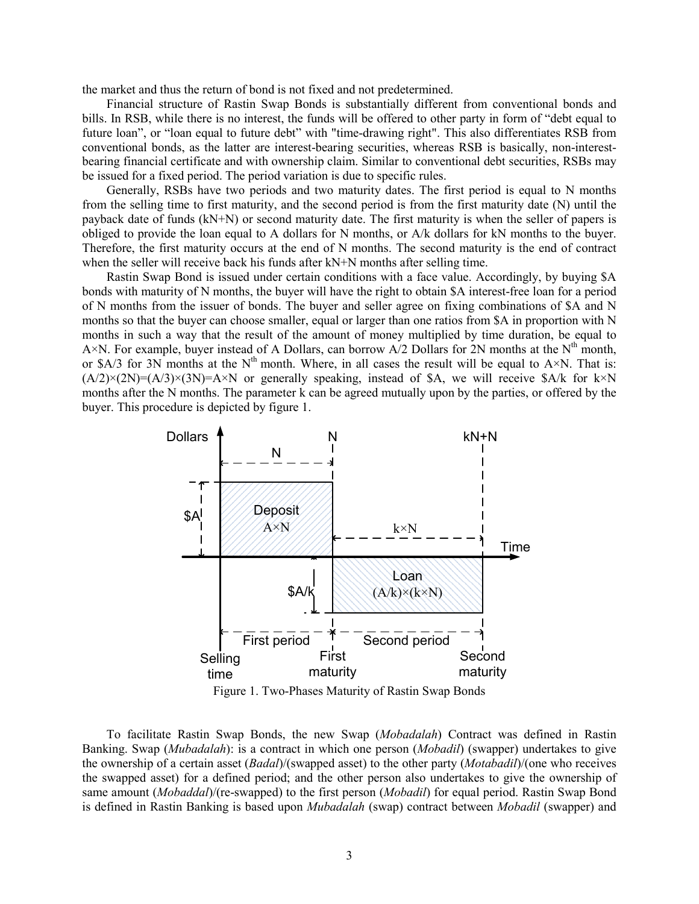the market and thus the return of bond is not fixed and not predetermined.

Financial structure of Rastin Swap Bonds is substantially different from conventional bonds and bills. In RSB, while there is no interest, the funds will be offered to other party in form of "debt equal to future loan", or "loan equal to future debt" with "time-drawing right". This also differentiates RSB from conventional bonds, as the latter are interest-bearing securities, whereas RSB is basically, non-interestbearing financial certificate and with ownership claim. Similar to conventional debt securities, RSBs may be issued for a fixed period. The period variation is due to specific rules.

Generally, RSBs have two periods and two maturity dates. The first period is equal to N months from the selling time to first maturity, and the second period is from the first maturity date (N) until the payback date of funds (kN+N) or second maturity date. The first maturity is when the seller of papers is obliged to provide the loan equal to A dollars for N months, or A/k dollars for kN months to the buyer. Therefore, the first maturity occurs at the end of N months. The second maturity is the end of contract when the seller will receive back his funds after kN+N months after selling time.

Rastin Swap Bond is issued under certain conditions with a face value. Accordingly, by buying \$A bonds with maturity of N months, the buyer will have the right to obtain \$A interest-free loan for a period of N months from the issuer of bonds. The buyer and seller agree on fixing combinations of \$A and N months so that the buyer can choose smaller, equal or larger than one ratios from \$A in proportion with N months in such a way that the result of the amount of money multiplied by time duration, be equal to A×N. For example, buyer instead of A Dollars, can borrow A/2 Dollars for 2N months at the  $N<sup>th</sup>$  month, or \$A/3 for 3N months at the  $N^{th}$  month. Where, in all cases the result will be equal to A×N. That is:  $(A/2)\times(2N)=(A/3)\times(3N)=A\times N$  or generally speaking, instead of \$A, we will receive \$A/k for k×N months after the N months. The parameter k can be agreed mutually upon by the parties, or offered by the buyer. This procedure is depicted by figure 1.



To facilitate Rastin Swap Bonds, the new Swap (*Mobadalah*) Contract was defined in Rastin Banking. Swap (*Mubadalah*): is a contract in which one person (*Mobadil*) (swapper) undertakes to give the ownership of a certain asset (*Badal*)/(swapped asset) to the other party (*Motabadil*)/(one who receives the swapped asset) for a defined period; and the other person also undertakes to give the ownership of same amount (*Mobaddal*)/(re-swapped) to the first person (*Mobadil*) for equal period. Rastin Swap Bond is defined in Rastin Banking is based upon *Mubadalah* (swap) contract between *Mobadil* (swapper) and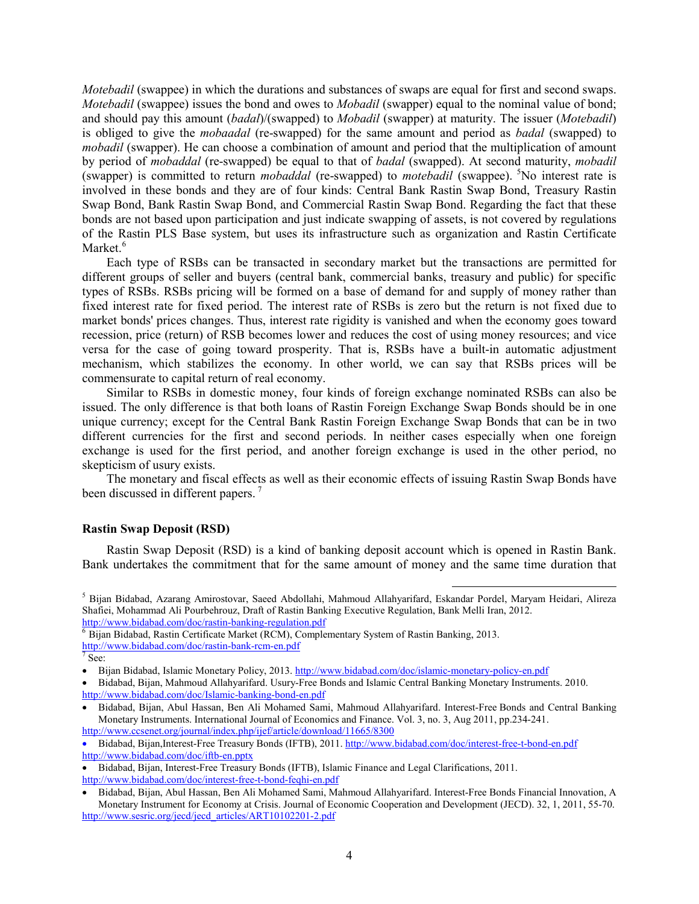*Motebadil* (swappee) in which the durations and substances of swaps are equal for first and second swaps. *Motebadil* (swappee) issues the bond and owes to *Mobadil* (swapper) equal to the nominal value of bond; and should pay this amount (*badal*)/(swapped) to *Mobadil* (swapper) at maturity. The issuer (*Motebadil*) is obliged to give the *mobaadal* (re-swapped) for the same amount and period as *badal* (swapped) to *mobadil* (swapper). He can choose a combination of amount and period that the multiplication of amount by period of *mobaddal* (re-swapped) be equal to that of *badal* (swapped). At second maturity, *mobadil* (swapper) is committed to return *mobaddal* (re-swapped) to *motebadil* (swappee). *<sup>F</sup>* 5 No interest rate is involved in these bonds and they are of four kinds: Central Bank Rastin Swap Bond, Treasury Rastin Swap Bond, Bank Rastin Swap Bond, and Commercial Rastin Swap Bond. Regarding the fact that these bonds are not based upon participation and just indicate swapping of assets, is not covered by regulations of the Rastin PLS Base system, but uses its infrastructure such as organization and Rastin Certificate Market.<sup>6</sup>

Each type of RSBs can be transacted in secondary market but the transactions are permitted for different groups of seller and buyers (central bank, commercial banks, treasury and public) for specific types of RSBs. RSBs pricing will be formed on a base of demand for and supply of money rather than fixed interest rate for fixed period. The interest rate of RSBs is zero but the return is not fixed due to market bonds' prices changes. Thus, interest rate rigidity is vanished and when the economy goes toward recession, price (return) of RSB becomes lower and reduces the cost of using money resources; and vice versa for the case of going toward prosperity. That is, RSBs have a built-in automatic adjustment mechanism, which stabilizes the economy. In other world, we can say that RSBs prices will be commensurate to capital return of real economy.

Similar to RSBs in domestic money, four kinds of foreign exchange nominated RSBs can also be issued. The only difference is that both loans of Rastin Foreign Exchange Swap Bonds should be in one unique currency; except for the Central Bank Rastin Foreign Exchange Swap Bonds that can be in two different currencies for the first and second periods. In neither cases especially when one foreign exchange is used for the first period, and another foreign exchange is used in the other period, no skepticism of usury exists.

The monetary and fiscal effects as well as their economic effects of issuing Rastin Swap Bonds have been discussed in different papers. *<sup>F</sup>* 7

# **Rastin Swap Deposit (RSD)**

Rastin Swap Deposit (RSD) is a kind of banking deposit account which is opened in Rastin Bank. Bank undertakes the commitment that for the same amount of money and the same time duration that

l

<sup>5</sup> Bijan Bidabad, Azarang Amirostovar, Saeed Abdollahi, Mahmoud Allahyarifard, Eskandar Pordel, Maryam Heidari, Alireza Shafiei, Mohammad Ali Pourbehrouz, Draft of Rastin Banking Executive Regulation, Bank Melli Iran, 2012.<br>http://www.bidabad.com/doc/rastin-banking-regulation.pdf

 $\overline{6}$  Bijan Bidabad, Rastin Certificate Market (RCM), Complementary System of Rastin Banking, 2013. <http://www.bidabad.com/doc/rastin-bank-rcm-en.pdf><br>
<sup>7</sup> See:

<sup>•</sup> Bijan Bidabad, Islamic Monetary Policy, 2013. <http://www.bidabad.com/doc/islamic-monetary-policy-en.pdf>

<sup>•</sup> Bidabad, Bijan, Mahmoud Allahyarifard. Usury-Free Bonds and Islamic Central Banking Monetary Instruments. 2010. <http://www.bidabad.com/doc/Islamic-banking-bond-en.pdf>

<sup>•</sup> Bidabad, Bijan, Abul Hassan, Ben Ali Mohamed Sami, Mahmoud Allahyarifard. Interest-Free Bonds and Central Banking Monetary Instruments. International Journal of Economics and Finance. Vol. 3, no. 3, Aug 2011, pp.234-241. <http://www.ccsenet.org/journal/index.php/ijef/article/download/11665/8300>

<sup>•</sup> Bidabad, Bijan,Interest-Free Treasury Bonds (IFTB), 2011[. http://www.bidabad.com/doc/interest-free-t-bond-en.pdf](http://www.bidabad.com/doc/interest-free-t-bond-en.pdf) <http://www.bidabad.com/doc/iftb-en.pptx>

<sup>•</sup> Bidabad, Bijan, Interest-Free Treasury Bonds (IFTB), Islamic Finance and Legal Clarifications, 2011. <http://www.bidabad.com/doc/interest-free-t-bond-feqhi-en.pdf>

<sup>•</sup> Bidabad, Bijan, Abul Hassan, Ben Ali Mohamed Sami, Mahmoud Allahyarifard. Interest-Free Bonds Financial Innovation, A Monetary Instrument for Economy at Crisis. Journal of Economic Cooperation and Development (JECD). 32, 1, 2011, 55-70. [http://www.sesric.org/jecd/jecd\\_articles/ART10102201-2.pdf](http://www.sesric.org/jecd/jecd_articles/ART10102201-2.pdf)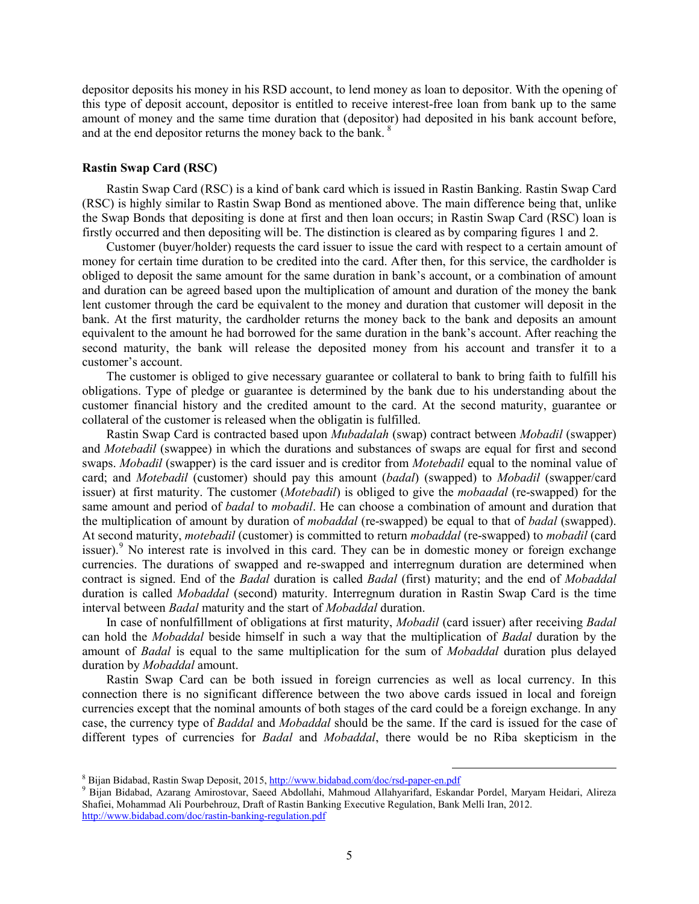depositor deposits his money in his RSD account, to lend money as loan to depositor. With the opening of this type of deposit account, depositor is entitled to receive interest-free loan from bank up to the same amount of money and the same time duration that (depositor) had deposited in his bank account before, and at the end depositor returns the money back to the bank. <sup>8</sup>

## **Rastin Swap Card (RSC)**

Rastin Swap Card (RSC) is a kind of bank card which is issued in Rastin Banking. Rastin Swap Card (RSC) is highly similar to Rastin Swap Bond as mentioned above. The main difference being that, unlike the Swap Bonds that depositing is done at first and then loan occurs; in Rastin Swap Card (RSC) loan is firstly occurred and then depositing will be. The distinction is cleared as by comparing figures 1 and 2.

Customer (buyer/holder) requests the card issuer to issue the card with respect to a certain amount of money for certain time duration to be credited into the card. After then, for this service, the cardholder is obliged to deposit the same amount for the same duration in bank's account, or a combination of amount and duration can be agreed based upon the multiplication of amount and duration of the money the bank lent customer through the card be equivalent to the money and duration that customer will deposit in the bank. At the first maturity, the cardholder returns the money back to the bank and deposits an amount equivalent to the amount he had borrowed for the same duration in the bank's account. After reaching the second maturity, the bank will release the deposited money from his account and transfer it to a customer's account.

The customer is obliged to give necessary guarantee or collateral to bank to bring faith to fulfill his obligations. Type of pledge or guarantee is determined by the bank due to his understanding about the customer financial history and the credited amount to the card. At the second maturity, guarantee or collateral of the customer is released when the obligatin is fulfilled.

Rastin Swap Card is contracted based upon *Mubadalah* (swap) contract between *Mobadil* (swapper) and *Motebadil* (swappee) in which the durations and substances of swaps are equal for first and second swaps. *Mobadil* (swapper) is the card issuer and is creditor from *Motebadil* equal to the nominal value of card; and *Motebadil* (customer) should pay this amount (*badal*) (swapped) to *Mobadil* (swapper/card issuer) at first maturity. The customer (*Motebadil*) is obliged to give the *mobaadal* (re-swapped) for the same amount and period of *badal* to *mobadil*. He can choose a combination of amount and duration that the multiplication of amount by duration of *mobaddal* (re-swapped) be equal to that of *badal* (swapped). At second maturity, *motebadil* (customer) is committed to return *mobaddal* (re-swapped) to *mobadil* (card issuer).<sup>[9](#page-4-0)</sup> No interest rate is involved in this card. They can be in domestic money or foreign exchange currencies. The durations of swapped and re-swapped and interregnum duration are determined when contract is signed. End of the *Badal* duration is called *Badal* (first) maturity; and the end of *Mobaddal* duration is called *Mobaddal* (second) maturity. Interregnum duration in Rastin Swap Card is the time interval between *Badal* maturity and the start of *Mobaddal* duration.

In case of nonfulfillment of obligations at first maturity, *Mobadil* (card issuer) after receiving *Badal* can hold the *Mobaddal* beside himself in such a way that the multiplication of *Badal* duration by the amount of *Badal* is equal to the same multiplication for the sum of *Mobaddal* duration plus delayed duration by *Mobaddal* amount.

Rastin Swap Card can be both issued in foreign currencies as well as local currency. In this connection there is no significant difference between the two above cards issued in local and foreign currencies except that the nominal amounts of both stages of the card could be a foreign exchange. In any case, the currency type of *Baddal* and *Mobaddal* should be the same. If the card is issued for the case of different types of currencies for *Badal* and *Mobaddal*, there would be no Riba skepticism in the

l

<span id="page-4-0"></span><sup>&</sup>lt;sup>8</sup> Bijan Bidabad, Rastin Swap Deposit, 2015, <u>http://www.bidabad.com/doc/rsd-paper-en.pdf</u><br><sup>9</sup> Bijan Bidabad, Azarang Amirostovar, Saeed Abdollahi, Mahmoud Allahyarifard, Eskandar Pordel, Maryam Heidari, Alireza Shafiei, Mohammad Ali Pourbehrouz, Draft of Rastin Banking Executive Regulation, Bank Melli Iran, 2012. <http://www.bidabad.com/doc/rastin-banking-regulation.pdf>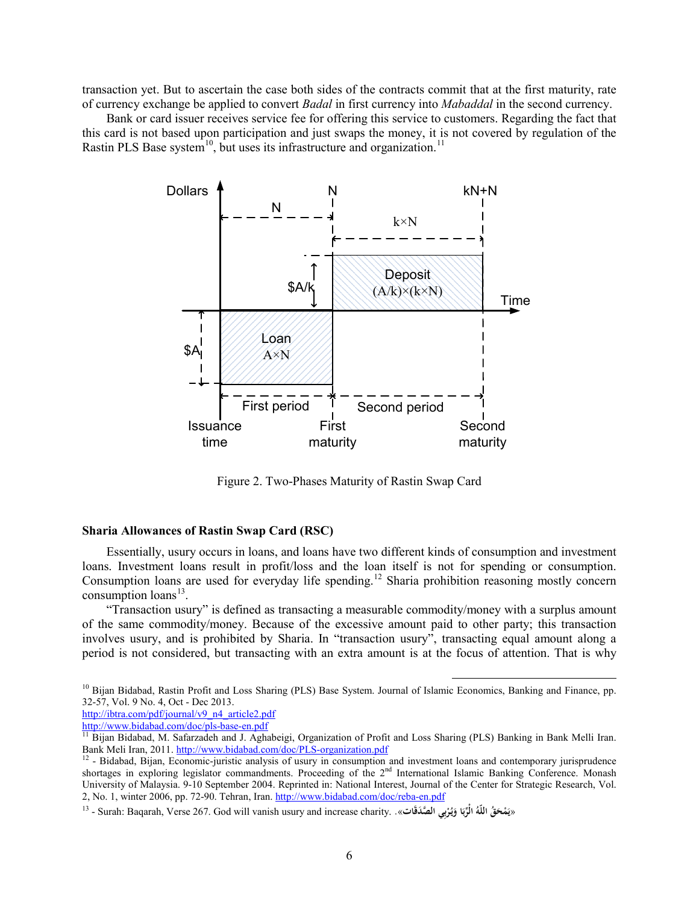transaction yet. But to ascertain the case both sides of the contracts commit that at the first maturity, rate of currency exchange be applied to convert *Badal* in first currency into *Mabaddal* in the second currency.

Bank or card issuer receives service fee for offering this service to customers. Regarding the fact that this card is not based upon participation and just swaps the money, it is not covered by regulation of the Rastin PLS Base system<sup>10</sup>, but uses its infrastructure and organization.<sup>[11](#page-5-1)</sup>

![](_page_5_Figure_2.jpeg)

Figure 2. Two-Phases Maturity of Rastin Swap Card

### **Sharia Allowances of Rastin Swap Card (RSC)**

Essentially, usury occurs in loans, and loans have two different kinds of consumption and investment loans. Investment loans result in profit/loss and the loan itself is not for spending or consumption. Consumption loans are used for everyday life spending.<sup>[12](#page-5-2)</sup> Sharia prohibition reasoning mostly concern consumption  $\text{loans}^{13}$  $\text{loans}^{13}$  $\text{loans}^{13}$ .

"Transaction usury" is defined as transacting a measurable commodity/money with a surplus amount of the same commodity/money. Because of the excessive amount paid to other party; this transaction involves usury, and is prohibited by Sharia. In "transaction usury", transacting equal amount along a period is not considered, but transacting with an extra amount is at the focus of attention. That is why

<span id="page-5-0"></span><sup>10</sup> Bijan Bidabad, Rastin Profit and Loss Sharing (PLS) Base System. Journal of Islamic Economics, Banking and Finance, pp. 32-57, Vol. 9 No. 4, Oct - Dec 2013.

 $\overline{\phantom{a}}$ 

[http://ibtra.com/pdf/journal/v9\\_n4\\_article2.pdf](http://ibtra.com/pdf/journal/v9_n4_article2.pdf)<br>http://www.bidabad.com/doc/pls-base-en.pdf<br><sup>11</sup> Bijan Bidabad, M. Safarradab and L.Ashab

<span id="page-5-1"></span><sup>&</sup>lt;sup>11</sup> Bijan Bidabad, M. Safarzadeh and J. Aghabeigi, Organization of Profit and Loss Sharing (PLS) Banking in Bank Melli Iran.<br>Bank Meli Iran, 2011. http://www.bidabad.com/doc/PLS-organization.pdf

<span id="page-5-2"></span> $12$ - Bidabad, Bijan, Economic-juristic analysis of usury in consumption and investment loans and contemporary jurisprudence shortages in exploring legislator commandments. Proceeding of the 2<sup>nd</sup> International Islamic Banking Conference. Monash University of Malaysia. 9-10 September 2004. Reprinted in: National Interest, Journal of the Center for Strategic Research, Vol. 2, No. 1, winter 2006, pp. 72-90. Tehran, Iran[. http://www.bidabad.com/doc/reba-en.pdf](http://www.bidabad.com/doc/reba-en.pdf)

<span id="page-5-3"></span><sup>«</sup>يَمْحَقُ اللَّهُ الْرِّبَا وَيُرْبِي الصَّدَقَات». . Surah: Baqarah, Verse 267. God will vanish usury and increase charity -**َ**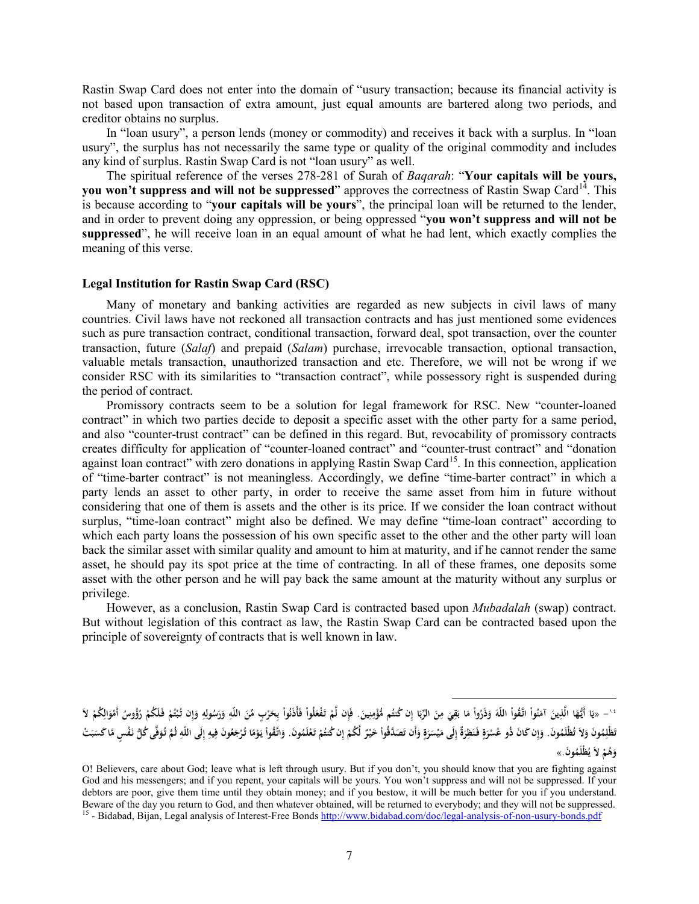Rastin Swap Card does not enter into the domain of "usury transaction; because its financial activity is not based upon transaction of extra amount, just equal amounts are bartered along two periods, and creditor obtains no surplus.

In "loan usury", a person lends (money or commodity) and receives it back with a surplus. In "loan usury", the surplus has not necessarily the same type or quality of the original commodity and includes any kind of surplus. Rastin Swap Card is not "loan usury" as well.

The spiritual reference of the verses 278-281 of Surah of *Baqarah*: "**Your capitals will be yours, you won't suppress and will not be suppressed**" approves the correctness of Rastin Swap Card<sup>[14](#page-6-0)</sup>. This is because according to "**your capitals will be yours**", the principal loan will be returned to the lender, and in order to prevent doing any oppression, or being oppressed "**you won't suppress and will not be suppressed**", he will receive loan in an equal amount of what he had lent, which exactly complies the meaning of this verse.

### **Legal Institution for Rastin Swap Card (RSC)**

Many of monetary and banking activities are regarded as new subjects in civil laws of many countries. Civil laws have not reckoned all transaction contracts and has just mentioned some evidences such as pure transaction contract, conditional transaction, forward deal, spot transaction, over the counter transaction, future (*Salaf*) and prepaid (*Salam*) purchase, irrevocable transaction, optional transaction, valuable metals transaction, unauthorized transaction and etc. Therefore, we will not be wrong if we consider RSC with its similarities to "transaction contract", while possessory right is suspended during the period of contract.

Promissory contracts seem to be a solution for legal framework for RSC. New "counter-loaned contract" in which two parties decide to deposit a specific asset with the other party for a same period, and also "counter-trust contract" can be defined in this regard. But, revocability of promissory contracts creates difficulty for application of "counter-loaned contract" and "counter-trust contract" and "donation against loan contract" with zero donations in applying Rastin Swap Card<sup>15</sup>. In this connection, application of "time-barter contract" is not meaningless. Accordingly, we define "time-barter contract" in which a party lends an asset to other party, in order to receive the same asset from him in future without considering that one of them is assets and the other is its price. If we consider the loan contract without surplus, "time-loan contract" might also be defined. We may define "time-loan contract" according to which each party loans the possession of his own specific asset to the other and the other party will loan back the similar asset with similar quality and amount to him at maturity, and if he cannot render the same asset, he should pay its spot price at the time of contracting. In all of these frames, one deposits some asset with the other person and he will pay back the same amount at the maturity without any surplus or privilege.

However, as a conclusion, Rastin Swap Card is contracted based upon *Mubadalah* (swap) contract. But without legislation of this contract as law, the Rastin Swap Card can be contracted based upon the principle of sovereignty of contracts that is well known in law.

 $\overline{\phantom{a}}$ 

<span id="page-6-0"></span><sup>َ &#</sup>x27; – «يَا أَيُّهَا الَّذِينَ آمَنُواْ اتَلَقَوْاْ اللّهَ وَذَرُواْ مَا بَقِيَ مِنَ الرِّبَا إِن كُتُم مُّؤْمِنِينَ. فَإِن لَمْ تَفْعَلُواْ فَأَذَنُواْ بِحَرْبِ مِّنَ الرِّبَا إِن كُتُم مُّؤْمِنِينَ. فَإِن لَمْ تَفْعَلُوا **َ إ َ ِ َ ِ َ ِْ َ** تَطْلِمُونَ وَلاَ تُطْلَمُونَ. وَإِن كَانَ ذُو عُسْرَةٍ فَنَظِرَةٌ إِلَى مَيْسَرَةٍ وَأَن تَصَدَّقُواْ خَيْرٌ لَّكُمْ إِن كُتُمْ تَعْلَمُونَ. وَإِضْ تَعْلَمُوا خَيْرٌ لَكُمْ إِن كُتُمْ وَائْشَا كُنَاهُمْ إِلَى مَيْسَرَةٍ ف **َ َ َ ٍَ إ َ َ َ** وَهُمْ لاَ يُظْلَمُونَ.»

<span id="page-6-1"></span>O! Believers, care about God; leave what is left through usury. But if you don't, you should know that you are fighting against God and his messengers; and if you repent, your capitals will be yours. You won't suppress and will not be suppressed. If your debtors are poor, give them time until they obtain money; and if you bestow, it will be much better for you if you understand.<br>Beware of the day you return to God, and then whatever obtained, will be returned to everybody; <sup>15</sup> - Bidabad, Bijan, Legal analysis of Interest-Free Bond[s http://www.bidabad.com/doc/legal-analysis-of-non-usury-bonds.pdf](http://www.bidabad.com/doc/legal-analysis-of-non-usury-bonds.pdf)